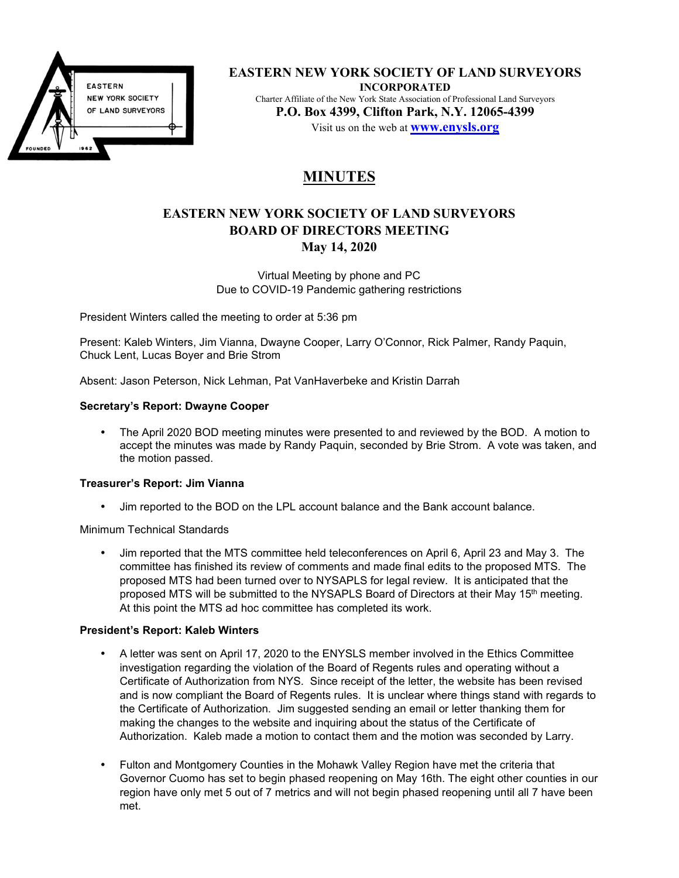

**EASTERN NEW YORK SOCIETY OF LAND SURVEYORS INCORPORATED**  Charter Affiliate of the New York State Association of Professional Land Surveyors **P.O. Box 4399, Clifton Park, N.Y. 12065-4399**  Visit us on the web at **www.enysls.org**

# **MINUTES**

# **EASTERN NEW YORK SOCIETY OF LAND SURVEYORS BOARD OF DIRECTORS MEETING May 14, 2020**

Virtual Meeting by phone and PC Due to COVID-19 Pandemic gathering restrictions

President Winters called the meeting to order at 5:36 pm

Present: Kaleb Winters, Jim Vianna, Dwayne Cooper, Larry O'Connor, Rick Palmer, Randy Paquin, Chuck Lent, Lucas Boyer and Brie Strom

Absent: Jason Peterson, Nick Lehman, Pat VanHaverbeke and Kristin Darrah

### **Secretary's Report: Dwayne Cooper**

• The April 2020 BOD meeting minutes were presented to and reviewed by the BOD. A motion to accept the minutes was made by Randy Paquin, seconded by Brie Strom. A vote was taken, and the motion passed.

### **Treasurer's Report: Jim Vianna**

• Jim reported to the BOD on the LPL account balance and the Bank account balance.

Minimum Technical Standards

• Jim reported that the MTS committee held teleconferences on April 6, April 23 and May 3. The committee has finished its review of comments and made final edits to the proposed MTS. The proposed MTS had been turned over to NYSAPLS for legal review. It is anticipated that the proposed MTS will be submitted to the NYSAPLS Board of Directors at their May 15<sup>th</sup> meeting. At this point the MTS ad hoc committee has completed its work.

### **President's Report: Kaleb Winters**

- A letter was sent on April 17, 2020 to the ENYSLS member involved in the Ethics Committee investigation regarding the violation of the Board of Regents rules and operating without a Certificate of Authorization from NYS. Since receipt of the letter, the website has been revised and is now compliant the Board of Regents rules. It is unclear where things stand with regards to the Certificate of Authorization. Jim suggested sending an email or letter thanking them for making the changes to the website and inquiring about the status of the Certificate of Authorization. Kaleb made a motion to contact them and the motion was seconded by Larry.
- Fulton and Montgomery Counties in the Mohawk Valley Region have met the criteria that Governor Cuomo has set to begin phased reopening on May 16th. The eight other counties in our region have only met 5 out of 7 metrics and will not begin phased reopening until all 7 have been met.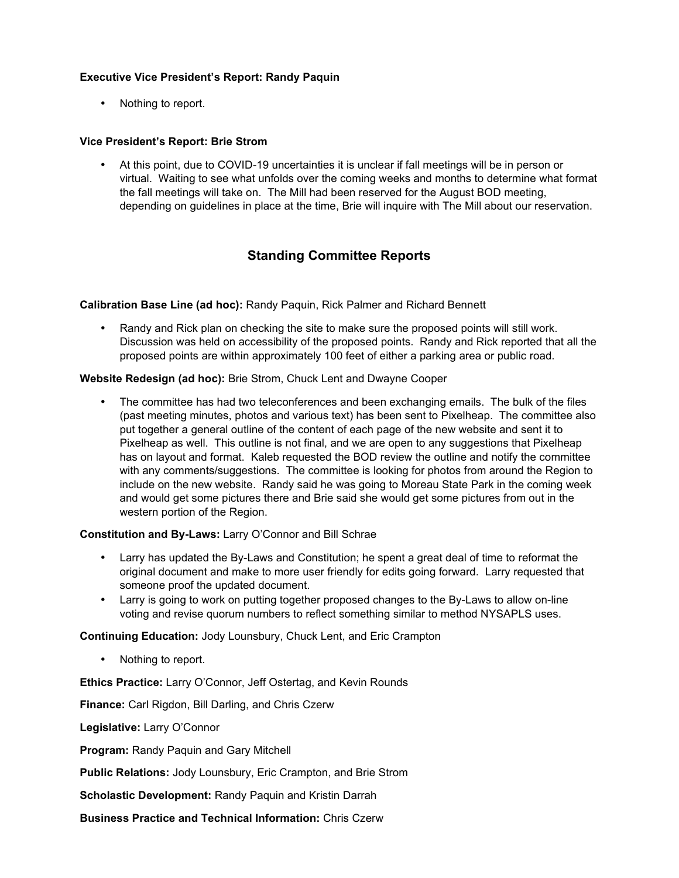# **Executive Vice President's Report: Randy Paquin**

• Nothing to report.

### **Vice President's Report: Brie Strom**

• At this point, due to COVID-19 uncertainties it is unclear if fall meetings will be in person or virtual. Waiting to see what unfolds over the coming weeks and months to determine what format the fall meetings will take on. The Mill had been reserved for the August BOD meeting, depending on guidelines in place at the time, Brie will inquire with The Mill about our reservation.

# **Standing Committee Reports**

**Calibration Base Line (ad hoc):** Randy Paquin, Rick Palmer and Richard Bennett

• Randy and Rick plan on checking the site to make sure the proposed points will still work. Discussion was held on accessibility of the proposed points. Randy and Rick reported that all the proposed points are within approximately 100 feet of either a parking area or public road.

### **Website Redesign (ad hoc):** Brie Strom, Chuck Lent and Dwayne Cooper

• The committee has had two teleconferences and been exchanging emails. The bulk of the files (past meeting minutes, photos and various text) has been sent to Pixelheap. The committee also put together a general outline of the content of each page of the new website and sent it to Pixelheap as well. This outline is not final, and we are open to any suggestions that Pixelheap has on layout and format. Kaleb requested the BOD review the outline and notify the committee with any comments/suggestions. The committee is looking for photos from around the Region to include on the new website. Randy said he was going to Moreau State Park in the coming week and would get some pictures there and Brie said she would get some pictures from out in the western portion of the Region.

### **Constitution and By-Laws:** Larry O'Connor and Bill Schrae

- Larry has updated the By-Laws and Constitution; he spent a great deal of time to reformat the original document and make to more user friendly for edits going forward. Larry requested that someone proof the updated document.
- Larry is going to work on putting together proposed changes to the By-Laws to allow on-line voting and revise quorum numbers to reflect something similar to method NYSAPLS uses.

**Continuing Education:** Jody Lounsbury, Chuck Lent, and Eric Crampton

Nothing to report.

**Ethics Practice:** Larry O'Connor, Jeff Ostertag, and Kevin Rounds

**Finance:** Carl Rigdon, Bill Darling, and Chris Czerw

**Legislative:** Larry O'Connor

**Program:** Randy Paquin and Gary Mitchell

**Public Relations:** Jody Lounsbury, Eric Crampton, and Brie Strom

**Scholastic Development:** Randy Paquin and Kristin Darrah

**Business Practice and Technical Information:** Chris Czerw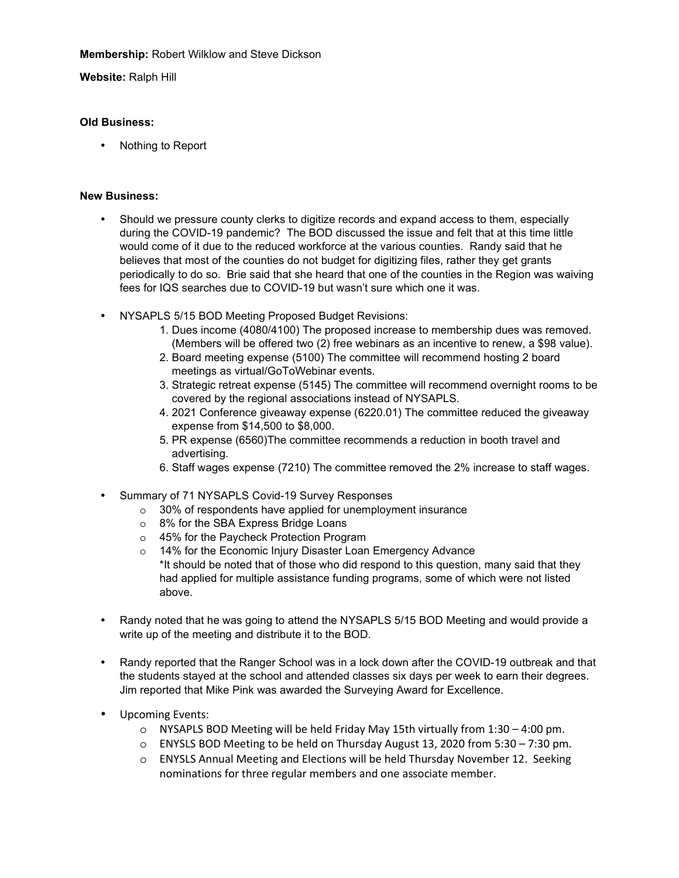**Membership:** Robert Wilklow and Steve Dickson

# **Website:** Ralph Hill

# **Old Business:**

• Nothing to Report

### **New Business:**

- Should we pressure county clerks to digitize records and expand access to them, especially during the COVID-19 pandemic? The BOD discussed the issue and felt that at this time little would come of it due to the reduced workforce at the various counties. Randy said that he believes that most of the counties do not budget for digitizing files, rather they get grants periodically to do so. Brie said that she heard that one of the counties in the Region was waiving fees for IQS searches due to COVID-19 but wasn't sure which one it was.
- NYSAPLS 5/15 BOD Meeting Proposed Budget Revisions:
	- 1. Dues income (4080/4100) The proposed increase to membership dues was removed. (Members will be offered two (2) free webinars as an incentive to renew, a \$98 value).
	- 2. Board meeting expense (5100) The committee will recommend hosting 2 board meetings as virtual/GoToWebinar events.
	- 3. Strategic retreat expense (5145) The committee will recommend overnight rooms to be covered by the regional associations instead of NYSAPLS.
	- 4. 2021 Conference giveaway expense (6220.01) The committee reduced the giveaway expense from \$14,500 to \$8,000.
	- 5. PR expense (6560)The committee recommends a reduction in booth travel and advertising.
	- 6. Staff wages expense (7210) The committee removed the 2% increase to staff wages.
- Summary of 71 NYSAPLS Covid-19 Survey Responses
	- o 30% of respondents have applied for unemployment insurance
	- o 8% for the SBA Express Bridge Loans
	- o 45% for the Paycheck Protection Program
	- o 14% for the Economic Injury Disaster Loan Emergency Advance \*It should be noted that of those who did respond to this question, many said that they had applied for multiple assistance funding programs, some of which were not listed above.
- Randy noted that he was going to attend the NYSAPLS 5/15 BOD Meeting and would provide a write up of the meeting and distribute it to the BOD.
- Randy reported that the Ranger School was in a lock down after the COVID-19 outbreak and that the students stayed at the school and attended classes six days per week to earn their degrees. Jim reported that Mike Pink was awarded the Surveying Award for Excellence.
- Upcoming Events:
	- $\circ$  NYSAPLS BOD Meeting will be held Friday May 15th virtually from 1:30 4:00 pm.
	- o ENYSLS BOD Meeting to be held on Thursday August 13, 2020 from 5:30 7:30 pm.
	- o ENYSLS Annual Meeting and Elections will be held Thursday November 12. Seeking nominations for three regular members and one associate member.